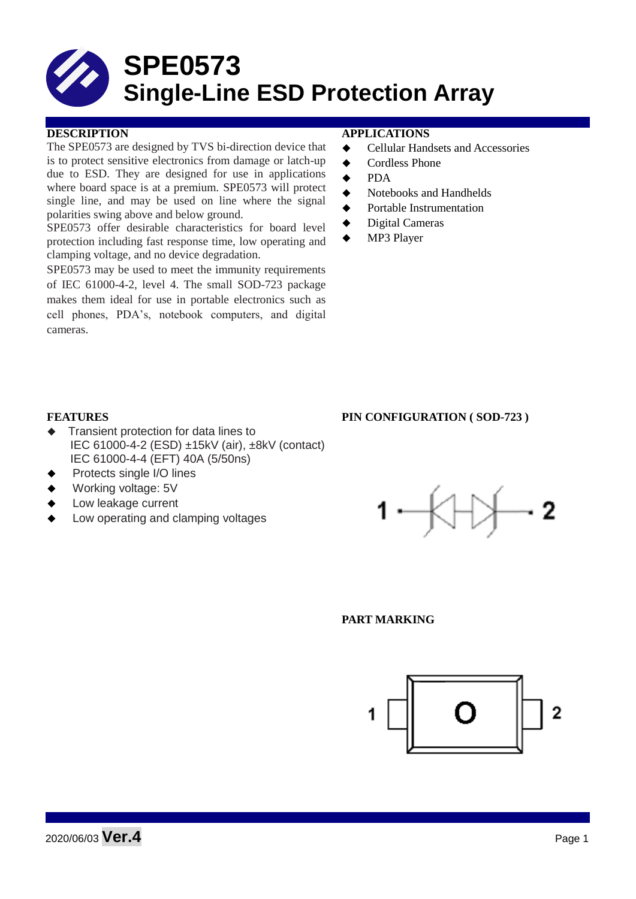# **SPE0573 Single-Line ESD Protection Array**

### **DESCRIPTION APPLICATIONS**

The SPE0573 are designed by TVS bi-direction device that is to protect sensitive electronics from damage or latch-up due to ESD. They are designed for use in applications where board space is at a premium. SPE0573 will protect single line, and may be used on line where the signal polarities swing above and below ground.

SPE0573 offer desirable characteristics for board level protection including fast response time, low operating and clamping voltage, and no device degradation.

SPE0573 may be used to meet the immunity requirements of IEC 61000-4-2, level 4. The small SOD-723 package makes them ideal for use in portable electronics such as cell phones, PDA's, notebook computers, and digital cameras.

- **←** Cellular Handsets and Accessories
- ◆ Cordless Phone
- $\bullet$  PDA
- Notebooks and Handhelds
- Portable Instrumentation
- ◆ Digital Cameras
- MP3 Player

#### **FEATURES PIN CONFIGURATION ( SOD-723 )**

- Transient protection for data lines to IEC 61000-4-2 (ESD) ±15kV (air), ±8kV (contact) IEC 61000-4-4 (EFT) 40A (5/50ns)
- Protects single I/O lines
- Working voltage: 5V
- Low leakage current
- Low operating and clamping voltages



#### **PART MARKING**

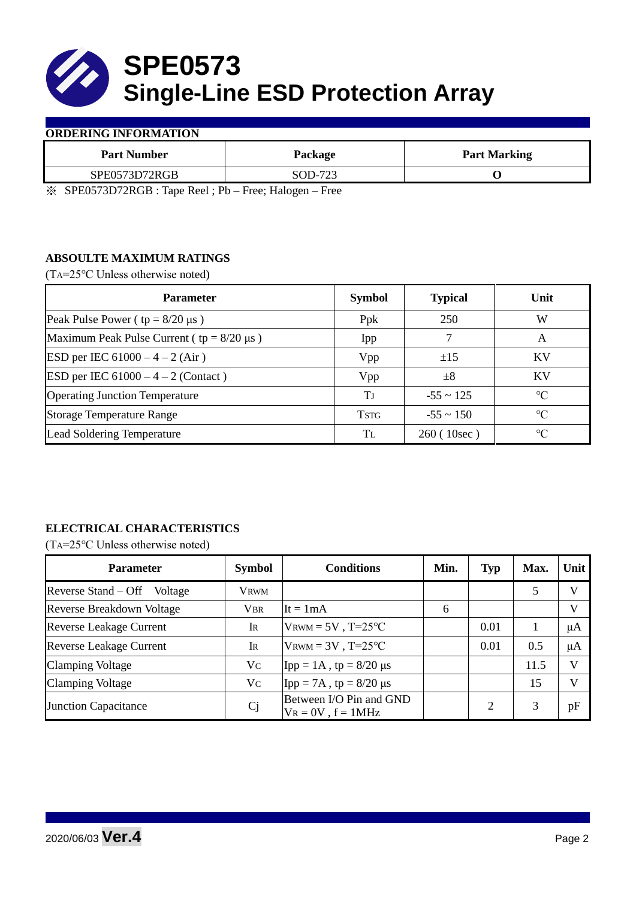

#### **ORDERING INFORMATION**

| <b>Part Number</b> | Package           | <b>Part Marking</b> |
|--------------------|-------------------|---------------------|
| SPE0573D72RGB      | SOD-723           |                     |
|                    | $\sim$<br>$- - -$ |                     |

※ SPE0573D72RGB : Tape Reel ; Pb – Free; Halogen – Free

### **ABSOULTE MAXIMUM RATINGS**

(TA=25℃ Unless otherwise noted)

| <b>Parameter</b>                                 | <b>Symbol</b> | <b>Typical</b> | Unit            |  |
|--------------------------------------------------|---------------|----------------|-----------------|--|
| Peak Pulse Power ( $tp = 8/20 \mu s$ )           | Ppk           | 250            | W               |  |
| Maximum Peak Pulse Current ( $tp = 8/20 \mu s$ ) | Ipp           |                | A               |  |
| ESD per IEC $61000 - 4 - 2$ (Air)                | Vpp           | ±15            | <b>KV</b>       |  |
| <b>ESD</b> per IEC $61000 - 4 - 2$ (Contact)     | Vpp           | $\pm 8$        | KV              |  |
| <b>Operating Junction Temperature</b>            | Tј            | $-55 \sim 125$ | $\rm ^{\circ}C$ |  |
| <b>Storage Temperature Range</b>                 | <b>TSTG</b>   | $-55 \sim 150$ | $\rm ^{\circ}C$ |  |
| Lead Soldering Temperature                       | Tī.           | 260 (10sec)    | $\rm ^{\circ}C$ |  |

# **ELECTRICAL CHARACTERISTICS**

(TA=25℃ Unless otherwise noted)

| <b>Parameter</b>                 | <b>Symbol</b>  | <b>Conditions</b>                                  | Min. | <b>Typ</b> | Max. | Unit         |
|----------------------------------|----------------|----------------------------------------------------|------|------------|------|--------------|
| Reverse Stand – Off<br>Voltage   | <b>VRWM</b>    |                                                    |      |            | 5    | V            |
| <b>Reverse Breakdown Voltage</b> | <b>VBR</b>     | It = $1mA$                                         | 6    |            |      | $\mathbf{V}$ |
| <b>Reverse Leakage Current</b>   | IR             | $V_{\text{RWM}} = 5V$ , T=25°C                     |      | 0.01       |      | μA           |
| <b>Reverse Leakage Current</b>   | IR             | $V_{\text{RWM}} = 3V$ , T=25°C                     |      | 0.01       | 0.5  | μA           |
| <b>Clamping Voltage</b>          | Vc             | Ipp = $1A$ , tp = $8/20 \mu s$                     |      |            | 11.5 | V            |
| <b>Clamping Voltage</b>          | Vc             | Ipp = 7A, tp = $8/20 \mu s$                        |      |            | 15   | $\mathbf{V}$ |
| <b>Junction Capacitance</b>      | C <sub>j</sub> | Between I/O Pin and GND<br>$V_R = 0V$ , $f = 1MHz$ |      |            | 3    | pF           |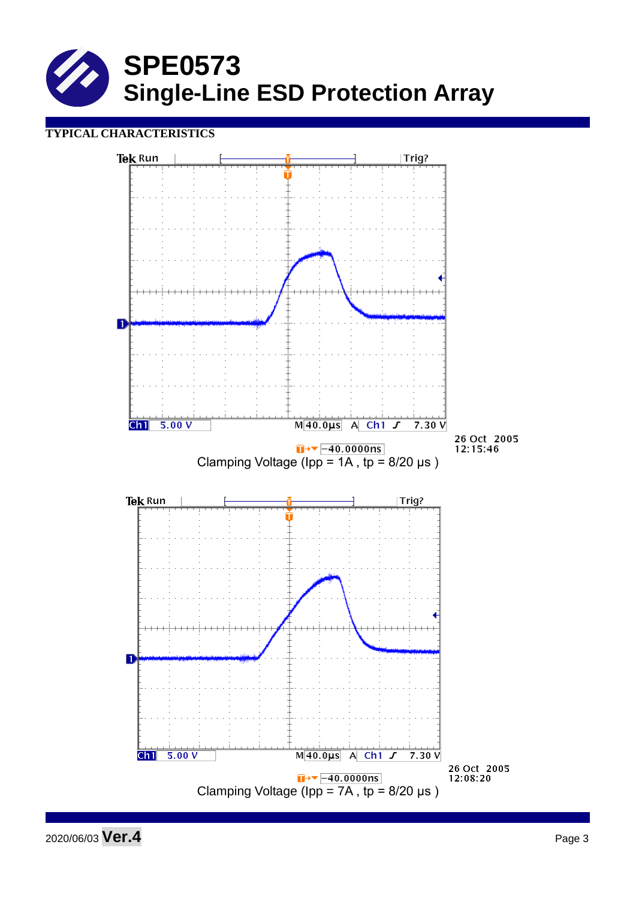

## **TYPICAL CHARACTERISTICS**

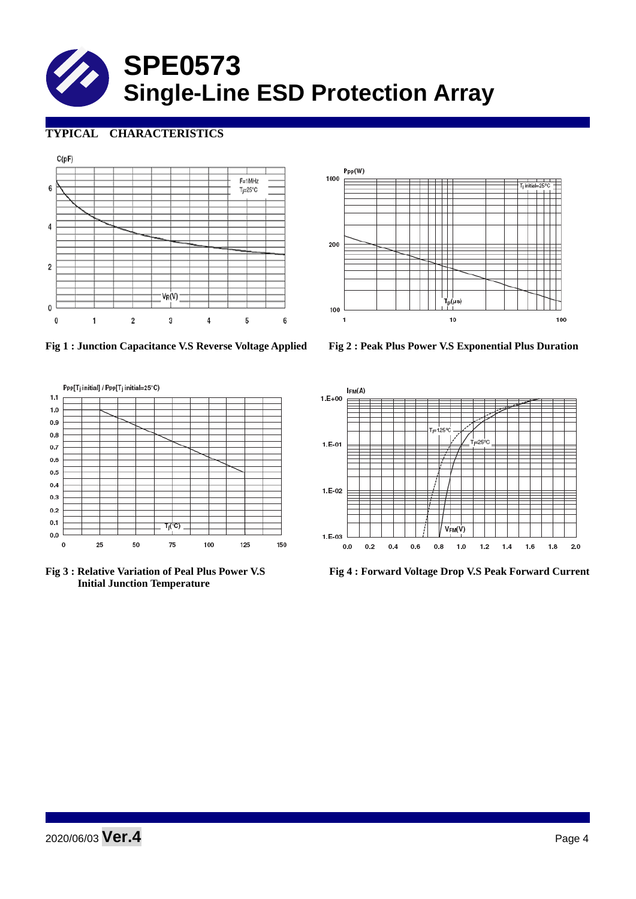# **SPE0573 Single-Line ESD Protection Array**

# **TYPICAL CHARACTERISTICS**





**Fig 1 : Junction Capacitance V.S Reverse Voltage Applied Fig 2 : Peak Plus Power V.S Exponential Plus Duration**



 **Initial Junction Temperature** 



**Fig 3 : Relative Variation of Peal Plus Power V.S Fig 4 : Forward Voltage Drop V.S Peak Forward Current**